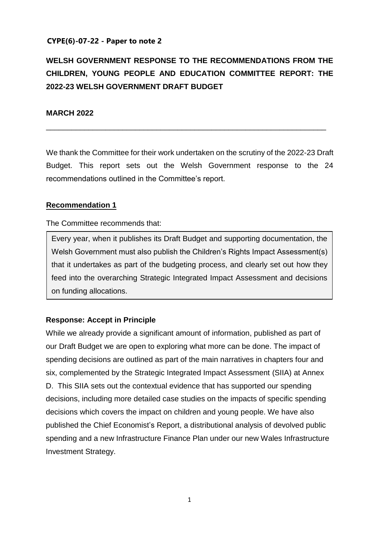#### **CYPE(6)-07-22 - Paper to note 2**

# **WELSH GOVERNMENT RESPONSE TO THE RECOMMENDATIONS FROM THE CHILDREN, YOUNG PEOPLE AND EDUCATION COMMITTEE REPORT: THE 2022-23 WELSH GOVERNMENT DRAFT BUDGET**

#### **MARCH 2022**

We thank the Committee for their work undertaken on the scrutiny of the 2022-23 Draft Budget. This report sets out the Welsh Government response to the 24 recommendations outlined in the Committee's report.

\_\_\_\_\_\_\_\_\_\_\_\_\_\_\_\_\_\_\_\_\_\_\_\_\_\_\_\_\_\_\_\_\_\_\_\_\_\_\_\_\_\_\_\_\_\_\_\_\_\_\_\_\_\_\_\_\_\_\_\_\_\_\_\_\_\_

#### **Recommendation 1**

The Committee recommends that:

Every year, when it publishes its Draft Budget and supporting documentation, the Welsh Government must also publish the Children's Rights Impact Assessment(s) that it undertakes as part of the budgeting process, and clearly set out how they feed into the overarching Strategic Integrated Impact Assessment and decisions on funding allocations.

#### **Response: Accept in Principle**

While we already provide a significant amount of information, published as part of our Draft Budget we are open to exploring what more can be done. The impact of spending decisions are outlined as part of the main narratives in chapters four and six, complemented by the Strategic Integrated Impact Assessment (SIIA) at Annex D. This SIIA sets out the contextual evidence that has supported our spending decisions, including more detailed case studies on the impacts of specific spending decisions which covers the impact on children and young people. We have also published the Chief Economist's Report, a distributional analysis of devolved public spending and a new Infrastructure Finance Plan under our new Wales Infrastructure Investment Strategy.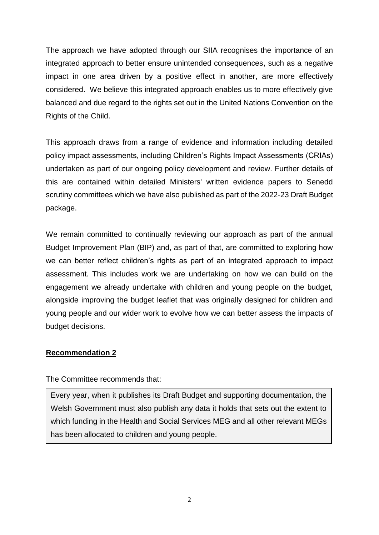The approach we have adopted through our SIIA recognises the importance of an integrated approach to better ensure unintended consequences, such as a negative impact in one area driven by a positive effect in another, are more effectively considered. We believe this integrated approach enables us to more effectively give balanced and due regard to the rights set out in the United Nations Convention on the Rights of the Child.

This approach draws from a range of evidence and information including detailed policy impact assessments, including Children's Rights Impact Assessments (CRIAs) undertaken as part of our ongoing policy development and review. Further details of this are contained within detailed Ministers' written evidence papers to Senedd scrutiny committees which we have also published as part of the 2022-23 Draft Budget package.

We remain committed to continually reviewing our approach as part of the annual Budget Improvement Plan (BIP) and, as part of that, are committed to exploring how we can better reflect children's rights as part of an integrated approach to impact assessment. This includes work we are undertaking on how we can build on the engagement we already undertake with children and young people on the budget, alongside improving the budget leaflet that was originally designed for children and young people and our wider work to evolve how we can better assess the impacts of budget decisions.

#### **Recommendation 2**

The Committee recommends that:

Every year, when it publishes its Draft Budget and supporting documentation, the Welsh Government must also publish any data it holds that sets out the extent to which funding in the Health and Social Services MEG and all other relevant MEGs has been allocated to children and young people.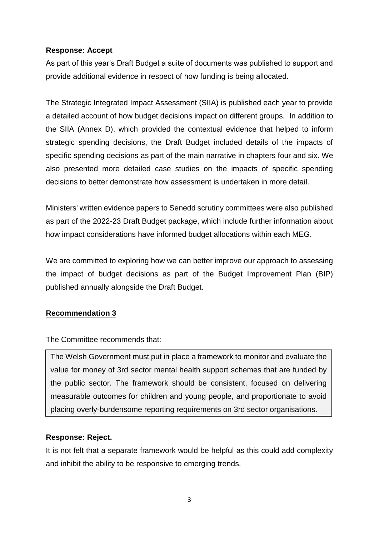## **Response: Accept**

As part of this year's Draft Budget a suite of documents was published to support and provide additional evidence in respect of how funding is being allocated.

The Strategic Integrated Impact Assessment (SIIA) is published each year to provide a detailed account of how budget decisions impact on different groups. In addition to the SIIA (Annex D), which provided the contextual evidence that helped to inform strategic spending decisions, the Draft Budget included details of the impacts of specific spending decisions as part of the main narrative in chapters four and six. We also presented more detailed case studies on the impacts of specific spending decisions to better demonstrate how assessment is undertaken in more detail.

Ministers' written evidence papers to Senedd scrutiny committees were also published as part of the 2022-23 Draft Budget package, which include further information about how impact considerations have informed budget allocations within each MEG.

We are committed to exploring how we can better improve our approach to assessing the impact of budget decisions as part of the Budget Improvement Plan (BIP) published annually alongside the Draft Budget.

## **Recommendation 3**

The Committee recommends that:

The Welsh Government must put in place a framework to monitor and evaluate the value for money of 3rd sector mental health support schemes that are funded by the public sector. The framework should be consistent, focused on delivering measurable outcomes for children and young people, and proportionate to avoid placing overly-burdensome reporting requirements on 3rd sector organisations.

## **Response: Reject.**

It is not felt that a separate framework would be helpful as this could add complexity and inhibit the ability to be responsive to emerging trends.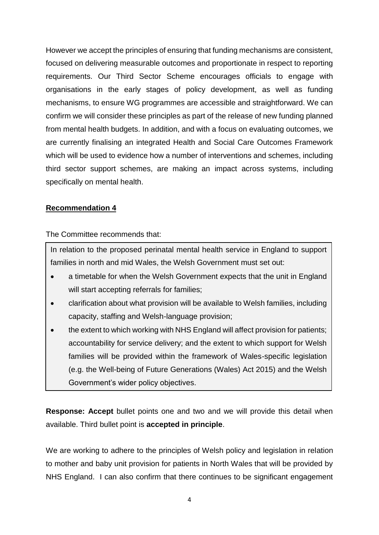However we accept the principles of ensuring that funding mechanisms are consistent, focused on delivering measurable outcomes and proportionate in respect to reporting requirements. Our Third Sector Scheme encourages officials to engage with organisations in the early stages of policy development, as well as funding mechanisms, to ensure WG programmes are accessible and straightforward. We can confirm we will consider these principles as part of the release of new funding planned from mental health budgets. In addition, and with a focus on evaluating outcomes, we are currently finalising an integrated Health and Social Care Outcomes Framework which will be used to evidence how a number of interventions and schemes, including third sector support schemes, are making an impact across systems, including specifically on mental health.

## **Recommendation 4**

The Committee recommends that:

In relation to the proposed perinatal mental health service in England to support families in north and mid Wales, the Welsh Government must set out:

- a timetable for when the Welsh Government expects that the unit in England will start accepting referrals for families;
- clarification about what provision will be available to Welsh families, including capacity, staffing and Welsh-language provision;
- the extent to which working with NHS England will affect provision for patients; accountability for service delivery; and the extent to which support for Welsh families will be provided within the framework of Wales-specific legislation (e.g. the Well-being of Future Generations (Wales) Act 2015) and the Welsh Government's wider policy objectives.

**Response: Accept** bullet points one and two and we will provide this detail when available. Third bullet point is **accepted in principle**.

We are working to adhere to the principles of Welsh policy and legislation in relation to mother and baby unit provision for patients in North Wales that will be provided by NHS England. I can also confirm that there continues to be significant engagement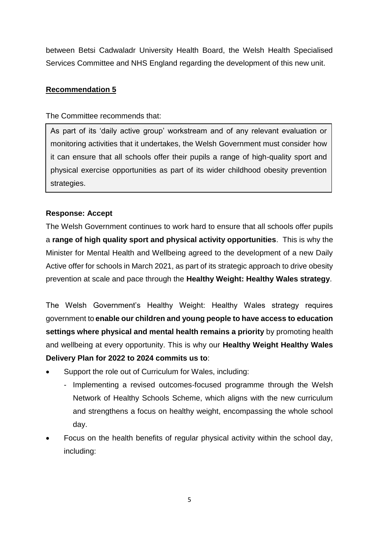between Betsi Cadwaladr University Health Board, the Welsh Health Specialised Services Committee and NHS England regarding the development of this new unit.

## **Recommendation 5**

#### The Committee recommends that:

As part of its 'daily active group' workstream and of any relevant evaluation or monitoring activities that it undertakes, the Welsh Government must consider how it can ensure that all schools offer their pupils a range of high-quality sport and physical exercise opportunities as part of its wider childhood obesity prevention strategies.

## **Response: Accept**

The Welsh Government continues to work hard to ensure that all schools offer pupils a **range of high quality sport and physical activity opportunities**. This is why the Minister for Mental Health and Wellbeing agreed to the development of a new Daily Active offer for schools in March 2021, as part of its strategic approach to drive obesity prevention at scale and pace through the **Healthy Weight: Healthy Wales strategy**.

The Welsh Government's Healthy Weight: Healthy Wales strategy requires government to **enable our children and young people to have access to education settings where physical and mental health remains a priority** by promoting health and wellbeing at every opportunity. This is why our **Healthy Weight Healthy Wales Delivery Plan for 2022 to 2024 commits us to**:

- Support the role out of Curriculum for Wales, including:
	- Implementing a revised outcomes-focused programme through the Welsh Network of Healthy Schools Scheme, which aligns with the new curriculum and strengthens a focus on healthy weight, encompassing the whole school day.
- Focus on the health benefits of regular physical activity within the school day, including: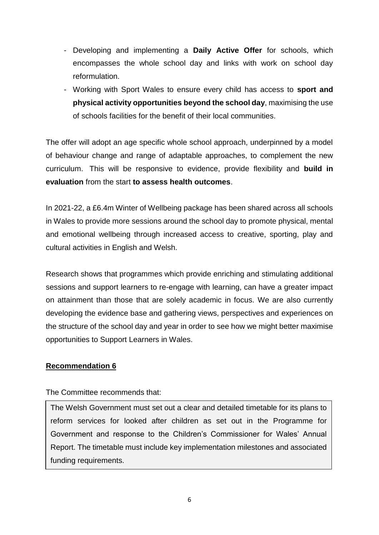- Developing and implementing a **Daily Active Offer** for schools, which encompasses the whole school day and links with work on school day reformulation.
- Working with Sport Wales to ensure every child has access to **sport and physical activity opportunities beyond the school day**, maximising the use of schools facilities for the benefit of their local communities.

The offer will adopt an age specific whole school approach, underpinned by a model of behaviour change and range of adaptable approaches, to complement the new curriculum. This will be responsive to evidence, provide flexibility and **build in evaluation** from the start **to assess health outcomes**.

In 2021-22, a £6.4m Winter of Wellbeing package has been shared across all schools in Wales to provide more sessions around the school day to promote physical, mental and emotional wellbeing through increased access to creative, sporting, play and cultural activities in English and Welsh.

Research shows that programmes which provide enriching and stimulating additional sessions and support learners to re-engage with learning, can have a greater impact on attainment than those that are solely academic in focus. We are also currently developing the evidence base and gathering views, perspectives and experiences on the structure of the school day and year in order to see how we might better maximise opportunities to Support Learners in Wales.

## **Recommendation 6**

## The Committee recommends that:

The Welsh Government must set out a clear and detailed timetable for its plans to reform services for looked after children as set out in the Programme for Government and response to the Children's Commissioner for Wales' Annual Report. The timetable must include key implementation milestones and associated funding requirements.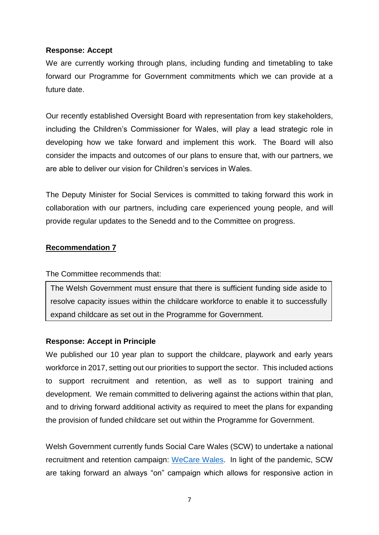#### **Response: Accept**

We are currently working through plans, including funding and timetabling to take forward our Programme for Government commitments which we can provide at a future date.

Our recently established Oversight Board with representation from key stakeholders, including the Children's Commissioner for Wales, will play a lead strategic role in developing how we take forward and implement this work. The Board will also consider the impacts and outcomes of our plans to ensure that, with our partners, we are able to deliver our vision for Children's services in Wales.

The Deputy Minister for Social Services is committed to taking forward this work in collaboration with our partners, including care experienced young people, and will provide regular updates to the Senedd and to the Committee on progress.

#### **Recommendation 7**

The Committee recommends that:

The Welsh Government must ensure that there is sufficient funding side aside to resolve capacity issues within the childcare workforce to enable it to successfully expand childcare as set out in the Programme for Government.

## **Response: Accept in Principle**

We published our 10 year plan to support the childcare, playwork and early years workforce in 2017, setting out our priorities to support the sector. This included actions to support recruitment and retention, as well as to support training and development. We remain committed to delivering against the actions within that plan, and to driving forward additional activity as required to meet the plans for expanding the provision of funded childcare set out within the Programme for Government.

Welsh Government currently funds Social Care Wales (SCW) to undertake a national recruitment and retention campaign: [WeCare](https://eur01.safelinks.protection.outlook.com/?url=https%3A%2F%2Fwecare.wales%2F&data=04%7C01%7CLucie.Griffiths%40gov.wales%7C9fedff2e2a60484c3dcb08d9efd8912a%7Ca2cc36c592804ae78887d06dab89216b%7C0%7C0%7C637804535682392257%7CUnknown%7CTWFpbGZsb3d8eyJWIjoiMC4wLjAwMDAiLCJQIjoiV2luMzIiLCJBTiI6Ik1haWwiLCJXVCI6Mn0%3D%7C3000&sdata=V2iOCRoUAN3sszI%2F0Qq1DssvG7qEAXr%2FcCtE6vJpnqo%3D&reserved=0) [Wales.](https://eur01.safelinks.protection.outlook.com/?url=https%3A%2F%2Fwecare.wales%2F&data=04%7C01%7CLucie.Griffiths%40gov.wales%7C9fedff2e2a60484c3dcb08d9efd8912a%7Ca2cc36c592804ae78887d06dab89216b%7C0%7C0%7C637804535682392257%7CUnknown%7CTWFpbGZsb3d8eyJWIjoiMC4wLjAwMDAiLCJQIjoiV2luMzIiLCJBTiI6Ik1haWwiLCJXVCI6Mn0%3D%7C3000&sdata=V2iOCRoUAN3sszI%2F0Qq1DssvG7qEAXr%2FcCtE6vJpnqo%3D&reserved=0) In light of the pandemic, SCW are taking forward an always "on" campaign which allows for responsive action in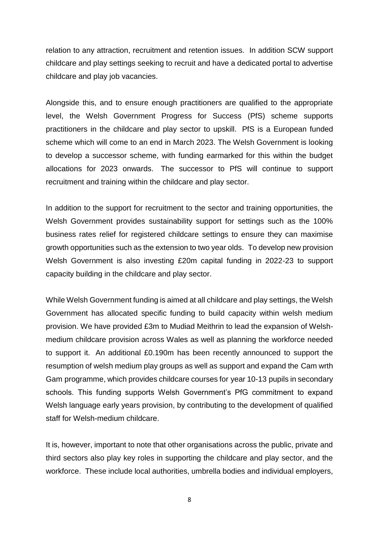relation to any attraction, recruitment and retention issues. In addition SCW support childcare and play settings seeking to recruit and have a dedicated portal to advertise childcare and play job vacancies.

Alongside this, and to ensure enough practitioners are qualified to the appropriate level, the Welsh Government Progress for Success (PfS) scheme supports practitioners in the childcare and play sector to upskill. PfS is a European funded scheme which will come to an end in March 2023. The Welsh Government is looking to develop a successor scheme, with funding earmarked for this within the budget allocations for 2023 onwards. The successor to PfS will continue to support recruitment and training within the childcare and play sector.

In addition to the support for recruitment to the sector and training opportunities, the Welsh Government provides sustainability support for settings such as the 100% business rates relief for registered childcare settings to ensure they can maximise growth opportunities such as the extension to two year olds. To develop new provision Welsh Government is also investing £20m capital funding in 2022-23 to support capacity building in the childcare and play sector.

While Welsh Government funding is aimed at all childcare and play settings, the Welsh Government has allocated specific funding to build capacity within welsh medium provision. We have provided £3m to Mudiad Meithrin to lead the expansion of Welshmedium childcare provision across Wales as well as planning the workforce needed to support it. An additional £0.190m has been recently announced to support the resumption of welsh medium play groups as well as support and expand the Cam wrth Gam programme, which provides childcare courses for year 10-13 pupils in secondary schools. This funding supports Welsh Government's PfG commitment to expand Welsh language early years provision, by contributing to the development of qualified staff for Welsh-medium childcare.

It is, however, important to note that other organisations across the public, private and third sectors also play key roles in supporting the childcare and play sector, and the workforce. These include local authorities, umbrella bodies and individual employers,

8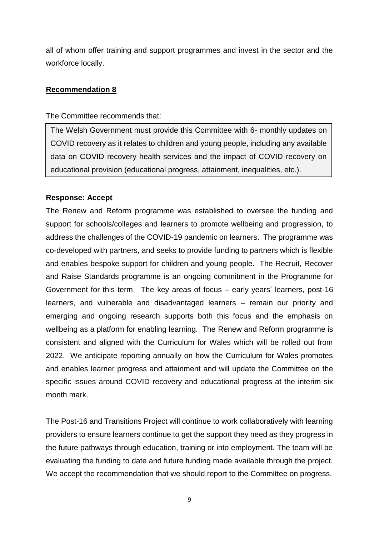all of whom offer training and support programmes and invest in the sector and the workforce locally.

#### **Recommendation 8**

The Committee recommends that:

The Welsh Government must provide this Committee with 6- monthly updates on COVID recovery as it relates to children and young people, including any available data on COVID recovery health services and the impact of COVID recovery on educational provision (educational progress, attainment, inequalities, etc.).

#### **Response: Accept**

The Renew and Reform programme was established to oversee the funding and support for schools/colleges and learners to promote wellbeing and progression, to address the challenges of the COVID-19 pandemic on learners. The programme was co-developed with partners, and seeks to provide funding to partners which is flexible and enables bespoke support for children and young people. The Recruit, Recover and Raise Standards programme is an ongoing commitment in the Programme for Government for this term. The key areas of focus – early years' learners, post-16 learners, and vulnerable and disadvantaged learners – remain our priority and emerging and ongoing research supports both this focus and the emphasis on wellbeing as a platform for enabling learning. The Renew and Reform programme is consistent and aligned with the Curriculum for Wales which will be rolled out from 2022. We anticipate reporting annually on how the Curriculum for Wales promotes and enables learner progress and attainment and will update the Committee on the specific issues around COVID recovery and educational progress at the interim six month mark.

The Post-16 and Transitions Project will continue to work collaboratively with learning providers to ensure learners continue to get the support they need as they progress in the future pathways through education, training or into employment. The team will be evaluating the funding to date and future funding made available through the project. We accept the recommendation that we should report to the Committee on progress.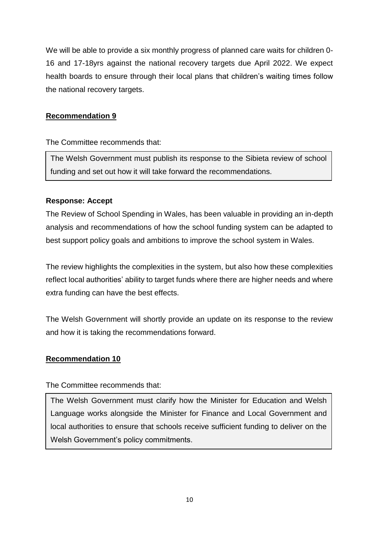We will be able to provide a six monthly progress of planned care waits for children 0- 16 and 17-18yrs against the national recovery targets due April 2022. We expect health boards to ensure through their local plans that children's waiting times follow the national recovery targets.

## **Recommendation 9**

The Committee recommends that:

The Welsh Government must publish its response to the Sibieta review of school funding and set out how it will take forward the recommendations.

# **Response: Accept**

The Review of School Spending in Wales, has been valuable in providing an in-depth analysis and recommendations of how the school funding system can be adapted to best support policy goals and ambitions to improve the school system in Wales.

The review highlights the complexities in the system, but also how these complexities reflect local authorities' ability to target funds where there are higher needs and where extra funding can have the best effects.

The Welsh Government will shortly provide an update on its response to the review and how it is taking the recommendations forward.

## **Recommendation 10**

The Committee recommends that:

The Welsh Government must clarify how the Minister for Education and Welsh Language works alongside the Minister for Finance and Local Government and local authorities to ensure that schools receive sufficient funding to deliver on the Welsh Government's policy commitments.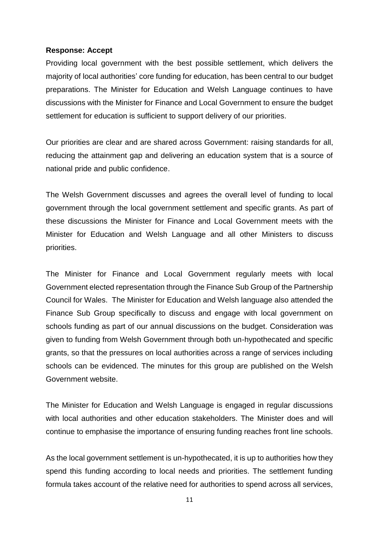#### **Response: Accept**

Providing local government with the best possible settlement, which delivers the majority of local authorities' core funding for education, has been central to our budget preparations. The Minister for Education and Welsh Language continues to have discussions with the Minister for Finance and Local Government to ensure the budget settlement for education is sufficient to support delivery of our priorities.

Our priorities are clear and are shared across Government: raising standards for all, reducing the attainment gap and delivering an education system that is a source of national pride and public confidence.

The Welsh Government discusses and agrees the overall level of funding to local government through the local government settlement and specific grants. As part of these discussions the Minister for Finance and Local Government meets with the Minister for Education and Welsh Language and all other Ministers to discuss priorities.

The Minister for Finance and Local Government regularly meets with local Government elected representation through the Finance Sub Group of the Partnership Council for Wales. The Minister for Education and Welsh language also attended the Finance Sub Group specifically to discuss and engage with local government on schools funding as part of our annual discussions on the budget. Consideration was given to funding from Welsh Government through both un-hypothecated and specific grants, so that the pressures on local authorities across a range of services including schools can be evidenced. The minutes for this group are published on the Welsh Government website.

The Minister for Education and Welsh Language is engaged in regular discussions with local authorities and other education stakeholders. The Minister does and will continue to emphasise the importance of ensuring funding reaches front line schools.

As the local government settlement is un-hypothecated, it is up to authorities how they spend this funding according to local needs and priorities. The settlement funding formula takes account of the relative need for authorities to spend across all services,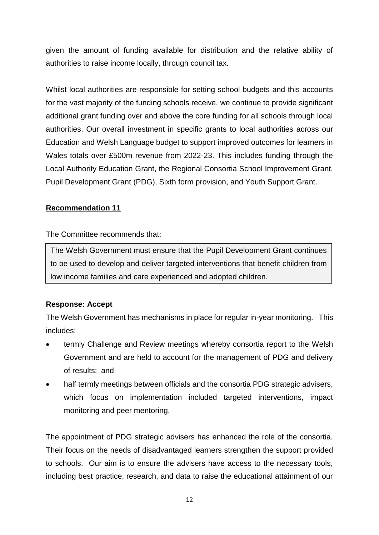given the amount of funding available for distribution and the relative ability of authorities to raise income locally, through council tax.

Whilst local authorities are responsible for setting school budgets and this accounts for the vast majority of the funding schools receive, we continue to provide significant additional grant funding over and above the core funding for all schools through local authorities. Our overall investment in specific grants to local authorities across our Education and Welsh Language budget to support improved outcomes for learners in Wales totals over £500m revenue from 2022-23. This includes funding through the Local Authority Education Grant, the Regional Consortia School Improvement Grant, Pupil Development Grant (PDG), Sixth form provision, and Youth Support Grant.

# **Recommendation 11**

## The Committee recommends that:

The Welsh Government must ensure that the Pupil Development Grant continues to be used to develop and deliver targeted interventions that benefit children from low income families and care experienced and adopted children.

## **Response: Accept**

The Welsh Government has mechanisms in place for regular in-year monitoring. This includes:

- termly Challenge and Review meetings whereby consortia report to the Welsh Government and are held to account for the management of PDG and delivery of results; and
- half termly meetings between officials and the consortia PDG strategic advisers, which focus on implementation included targeted interventions, impact monitoring and peer mentoring.

The appointment of PDG strategic advisers has enhanced the role of the consortia. Their focus on the needs of disadvantaged learners strengthen the support provided to schools. Our aim is to ensure the advisers have access to the necessary tools, including best practice, research, and data to raise the educational attainment of our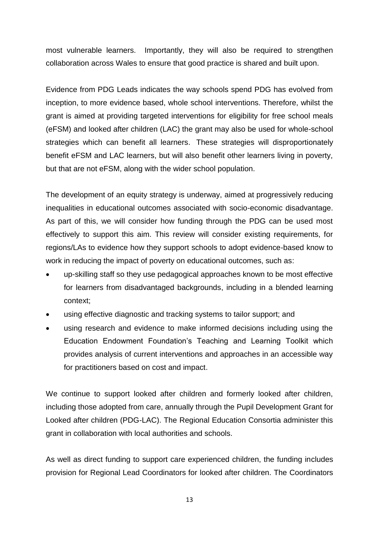most vulnerable learners. Importantly, they will also be required to strengthen collaboration across Wales to ensure that good practice is shared and built upon.

Evidence from PDG Leads indicates the way schools spend PDG has evolved from inception, to more evidence based, whole school interventions. Therefore, whilst the grant is aimed at providing targeted interventions for eligibility for free school meals (eFSM) and looked after children (LAC) the grant may also be used for whole-school strategies which can benefit all learners. These strategies will disproportionately benefit eFSM and LAC learners, but will also benefit other learners living in poverty, but that are not eFSM, along with the wider school population.

The development of an equity strategy is underway, aimed at progressively reducing inequalities in educational outcomes associated with socio-economic disadvantage. As part of this, we will consider how funding through the PDG can be used most effectively to support this aim. This review will consider existing requirements, for regions/LAs to evidence how they support schools to adopt evidence-based know to work in reducing the impact of poverty on educational outcomes, such as:

- up-skilling staff so they use pedagogical approaches known to be most effective for learners from disadvantaged backgrounds, including in a blended learning context;
- using effective diagnostic and tracking systems to tailor support; and
- using research and evidence to make informed decisions including using the Education Endowment Foundation's Teaching and Learning Toolkit which provides analysis of current interventions and approaches in an accessible way for practitioners based on cost and impact.

We continue to support looked after children and formerly looked after children, including those adopted from care, annually through the Pupil Development Grant for Looked after children (PDG-LAC). The Regional Education Consortia administer this grant in collaboration with local authorities and schools.

As well as direct funding to support care experienced children, the funding includes provision for Regional Lead Coordinators for looked after children. The Coordinators

13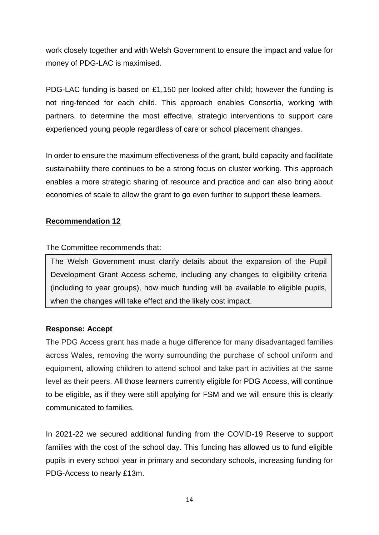work closely together and with Welsh Government to ensure the impact and value for money of PDG-LAC is maximised.

PDG-LAC funding is based on £1,150 per looked after child; however the funding is not ring-fenced for each child. This approach enables Consortia, working with partners, to determine the most effective, strategic interventions to support care experienced young people regardless of care or school placement changes.

In order to ensure the maximum effectiveness of the grant, build capacity and facilitate sustainability there continues to be a strong focus on cluster working. This approach enables a more strategic sharing of resource and practice and can also bring about economies of scale to allow the grant to go even further to support these learners.

#### **Recommendation 12**

The Committee recommends that:

The Welsh Government must clarify details about the expansion of the Pupil Development Grant Access scheme, including any changes to eligibility criteria (including to year groups), how much funding will be available to eligible pupils, when the changes will take effect and the likely cost impact.

## **Response: Accept**

The PDG Access grant has made a huge difference for many disadvantaged families across Wales, removing the worry surrounding the purchase of school uniform and equipment, allowing children to attend school and take part in activities at the same level as their peers. All those learners currently eligible for PDG Access, will continue to be eligible, as if they were still applying for FSM and we will ensure this is clearly communicated to families.

In 2021-22 we secured additional funding from the COVID-19 Reserve to support families with the cost of the school day. This funding has allowed us to fund eligible pupils in every school year in primary and secondary schools, increasing funding for PDG-Access to nearly £13m.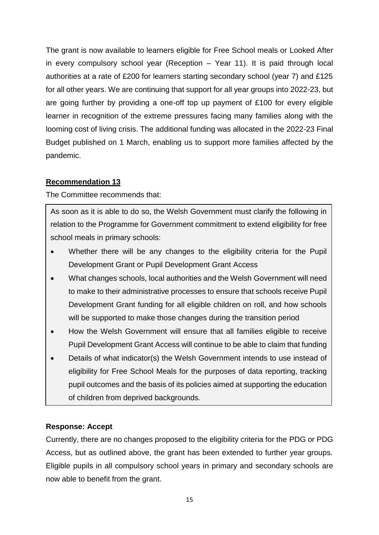The grant is now available to learners eligible for Free School meals or Looked After in every compulsory school year (Reception – Year 11). It is paid through local authorities at a rate of £200 for learners starting secondary school (year 7) and £125 for all other years. We are continuing that support for all year groups into 2022-23, but are going further by providing a one-off top up payment of £100 for every eligible learner in recognition of the extreme pressures facing many families along with the looming cost of living crisis. The additional funding was allocated in the 2022-23 Final Budget published on 1 March, enabling us to support more families affected by the pandemic.

# **Recommendation 13**

The Committee recommends that:

As soon as it is able to do so, the Welsh Government must clarify the following in relation to the Programme for Government commitment to extend eligibility for free school meals in primary schools:

- Whether there will be any changes to the eligibility criteria for the Pupil Development Grant or Pupil Development Grant Access
- What changes schools, local authorities and the Welsh Government will need to make to their administrative processes to ensure that schools receive Pupil Development Grant funding for all eligible children on roll, and how schools will be supported to make those changes during the transition period
- How the Welsh Government will ensure that all families eligible to receive Pupil Development Grant Access will continue to be able to claim that funding
- Details of what indicator(s) the Welsh Government intends to use instead of eligibility for Free School Meals for the purposes of data reporting, tracking pupil outcomes and the basis of its policies aimed at supporting the education of children from deprived backgrounds.

## **Response: Accept**

Currently, there are no changes proposed to the eligibility criteria for the PDG or PDG Access, but as outlined above, the grant has been extended to further year groups. Eligible pupils in all compulsory school years in primary and secondary schools are now able to benefit from the grant.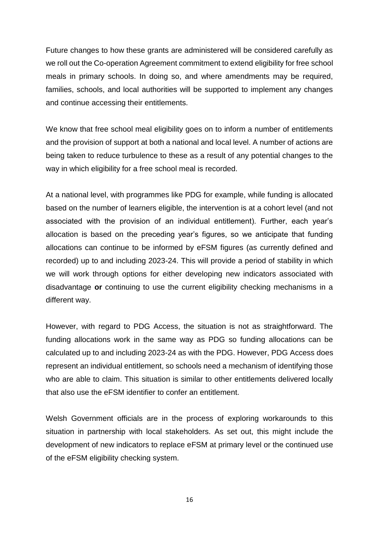Future changes to how these grants are administered will be considered carefully as we roll out the Co-operation Agreement commitment to extend eligibility for free school meals in primary schools. In doing so, and where amendments may be required, families, schools, and local authorities will be supported to implement any changes and continue accessing their entitlements.

We know that free school meal eligibility goes on to inform a number of entitlements and the provision of support at both a national and local level. A number of actions are being taken to reduce turbulence to these as a result of any potential changes to the way in which eligibility for a free school meal is recorded.

At a national level, with programmes like PDG for example, while funding is allocated based on the number of learners eligible, the intervention is at a cohort level (and not associated with the provision of an individual entitlement). Further, each year's allocation is based on the preceding year's figures, so we anticipate that funding allocations can continue to be informed by eFSM figures (as currently defined and recorded) up to and including 2023-24. This will provide a period of stability in which we will work through options for either developing new indicators associated with disadvantage **or** continuing to use the current eligibility checking mechanisms in a different way.

However, with regard to PDG Access, the situation is not as straightforward. The funding allocations work in the same way as PDG so funding allocations can be calculated up to and including 2023-24 as with the PDG. However, PDG Access does represent an individual entitlement, so schools need a mechanism of identifying those who are able to claim. This situation is similar to other entitlements delivered locally that also use the eFSM identifier to confer an entitlement.

Welsh Government officials are in the process of exploring workarounds to this situation in partnership with local stakeholders. As set out, this might include the development of new indicators to replace eFSM at primary level or the continued use of the eFSM eligibility checking system.

16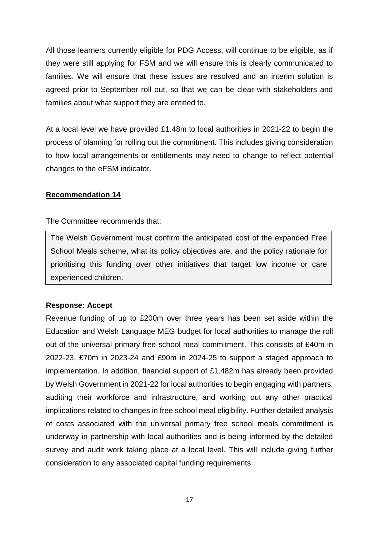All those learners currently eligible for PDG Access, will continue to be eligible, as if they were still applying for FSM and we will ensure this is clearly communicated to families. We will ensure that these issues are resolved and an interim solution is agreed prior to September roll out, so that we can be clear with stakeholders and families about what support they are entitled to.

At a local level we have provided £1.48m to local authorities in 2021-22 to begin the process of planning for rolling out the commitment. This includes giving consideration to how local arrangements or entitlements may need to change to reflect potential changes to the eFSM indicator.

## **Recommendation 14**

The Committee recommends that:

The Welsh Government must confirm the anticipated cost of the expanded Free School Meals scheme, what its policy objectives are, and the policy rationale for prioritising this funding over other initiatives that target low income or care experienced children.

## **Response: Accept**

Revenue funding of up to £200m over three years has been set aside within the Education and Welsh Language MEG budget for local authorities to manage the roll out of the universal primary free school meal commitment. This consists of £40m in 2022-23, £70m in 2023-24 and £90m in 2024-25 to support a staged approach to implementation. In addition, financial support of £1.482m has already been provided by Welsh Government in 2021-22 for local authorities to begin engaging with partners, auditing their workforce and infrastructure, and working out any other practical implications related to changes in free school meal eligibility. Further detailed analysis of costs associated with the universal primary free school meals commitment is underway in partnership with local authorities and is being informed by the detailed survey and audit work taking place at a local level. This will include giving further consideration to any associated capital funding requirements.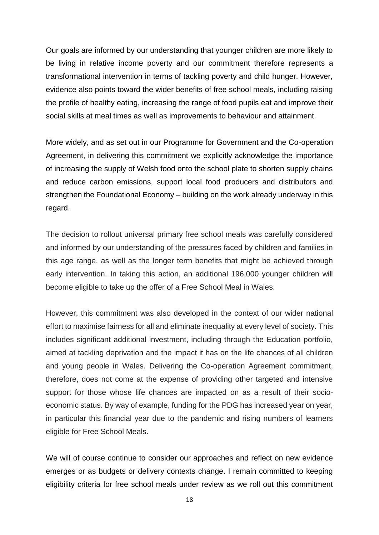Our goals are informed by our understanding that younger children are more likely to be living in relative income poverty and our commitment therefore represents a transformational intervention in terms of tackling poverty and child hunger. However, evidence also points toward the wider benefits of free school meals, including raising the profile of healthy eating, increasing the range of food pupils eat and improve their social skills at meal times as well as improvements to behaviour and attainment.

More widely, and as set out in our Programme for Government and the Co-operation Agreement, in delivering this commitment we explicitly acknowledge the importance of increasing the supply of Welsh food onto the school plate to shorten supply chains and reduce carbon emissions, support local food producers and distributors and strengthen the Foundational Economy – building on the work already underway in this regard.

The decision to rollout universal primary free school meals was carefully considered and informed by our understanding of the pressures faced by children and families in this age range, as well as the longer term benefits that might be achieved through early intervention. In taking this action, an additional 196,000 younger children will become eligible to take up the offer of a Free School Meal in Wales.

However, this commitment was also developed in the context of our wider national effort to maximise fairness for all and eliminate inequality at every level of society. This includes significant additional investment, including through the Education portfolio, aimed at tackling deprivation and the impact it has on the life chances of all children and young people in Wales. Delivering the Co-operation Agreement commitment, therefore, does not come at the expense of providing other targeted and intensive support for those whose life chances are impacted on as a result of their socioeconomic status. By way of example, funding for the PDG has increased year on year, in particular this financial year due to the pandemic and rising numbers of learners eligible for Free School Meals.

We will of course continue to consider our approaches and reflect on new evidence emerges or as budgets or delivery contexts change. I remain committed to keeping eligibility criteria for free school meals under review as we roll out this commitment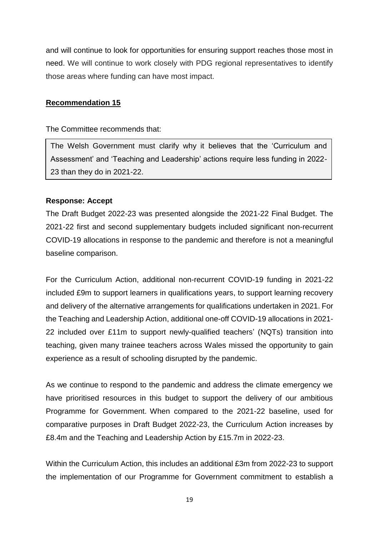and will continue to look for opportunities for ensuring support reaches those most in need. We will continue to work closely with PDG regional representatives to identify those areas where funding can have most impact.

#### **Recommendation 15**

The Committee recommends that:

The Welsh Government must clarify why it believes that the 'Curriculum and Assessment' and 'Teaching and Leadership' actions require less funding in 2022- 23 than they do in 2021-22.

#### **Response: Accept**

The Draft Budget 2022-23 was presented alongside the 2021-22 Final Budget. The 2021-22 first and second supplementary budgets included significant non-recurrent COVID-19 allocations in response to the pandemic and therefore is not a meaningful baseline comparison.

For the Curriculum Action, additional non-recurrent COVID-19 funding in 2021-22 included £9m to support learners in qualifications years, to support learning recovery and delivery of the alternative arrangements for qualifications undertaken in 2021. For the Teaching and Leadership Action, additional one-off COVID-19 allocations in 2021- 22 included over £11m to support [newly-qualified teachers'](https://gov.wales/support-will-help-newly-qualified-teachers-new-roles) (NQTs) transition into teaching, given many trainee teachers across Wales missed the opportunity to gain experience as a result of schooling disrupted by the pandemic.

As we continue to respond to the pandemic and address the climate emergency we have prioritised resources in this budget to support the delivery of our ambitious Programme for Government. When compared to the 2021-22 baseline, used for comparative purposes in Draft Budget 2022-23, the Curriculum Action increases by £8.4m and the Teaching and Leadership Action by £15.7m in 2022-23.

Within the Curriculum Action, this includes an additional £3m from 2022-23 to support the implementation of our Programme for Government commitment to establish a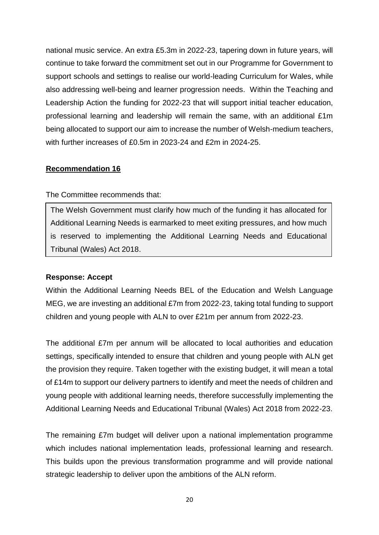national music service. An extra £5.3m in 2022-23, tapering down in future years, will continue to take forward the commitment set out in our Programme for Government to support schools and settings to realise our world-leading Curriculum for Wales, while also addressing well-being and learner progression needs. Within the Teaching and Leadership Action the funding for 2022-23 that will support initial teacher education, professional learning and leadership will remain the same, with an additional £1m being allocated to support our aim to increase the number of Welsh-medium teachers, with further increases of £0.5m in 2023-24 and £2m in 2024-25.

#### **Recommendation 16**

#### The Committee recommends that:

The Welsh Government must clarify how much of the funding it has allocated for Additional Learning Needs is earmarked to meet exiting pressures, and how much is reserved to implementing the Additional Learning Needs and Educational Tribunal (Wales) Act 2018.

#### **Response: Accept**

Within the Additional Learning Needs BEL of the Education and Welsh Language MEG, we are investing an additional £7m from 2022-23, taking total funding to support children and young people with ALN to over £21m per annum from 2022-23.

The additional £7m per annum will be allocated to local authorities and education settings, specifically intended to ensure that children and young people with ALN get the provision they require. Taken together with the existing budget, it will mean a total of £14m to support our delivery partners to identify and meet the needs of children and young people with additional learning needs, therefore successfully implementing the Additional Learning Needs and Educational Tribunal (Wales) Act 2018 from 2022-23.

The remaining £7m budget will deliver upon a national implementation programme which includes national implementation leads, professional learning and research. This builds upon the previous transformation programme and will provide national strategic leadership to deliver upon the ambitions of the ALN reform.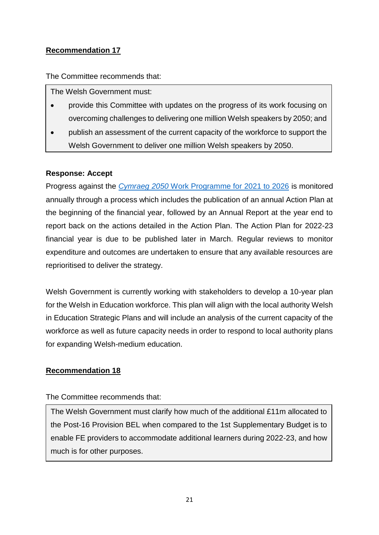# **Recommendation 17**

The Committee recommends that:

The Welsh Government must:

- provide this Committee with updates on the progress of its work focusing on overcoming challenges to delivering one million Welsh speakers by 2050; and
- publish an assessment of the current capacity of the workforce to support the Welsh Government to deliver one million Welsh speakers by 2050.

## **Response: Accept**

Progress against the *Cymraeg 2050* [Work Programme for 2021 to 2026](https://gov.wales/cymraeg-2050-work-programme-2021-2026-html) is monitored annually through a process which includes the publication of an annual Action Plan at the beginning of the financial year, followed by an Annual Report at the year end to report back on the actions detailed in the Action Plan. The Action Plan for 2022-23 financial year is due to be published later in March. Regular reviews to monitor expenditure and outcomes are undertaken to ensure that any available resources are reprioritised to deliver the strategy.

Welsh Government is currently working with stakeholders to develop a 10-year plan for the Welsh in Education workforce. This plan will align with the local authority Welsh in Education Strategic Plans and will include an analysis of the current capacity of the workforce as well as future capacity needs in order to respond to local authority plans for expanding Welsh-medium education.

## **Recommendation 18**

#### The Committee recommends that:

The Welsh Government must clarify how much of the additional £11m allocated to the Post-16 Provision BEL when compared to the 1st Supplementary Budget is to enable FE providers to accommodate additional learners during 2022-23, and how much is for other purposes.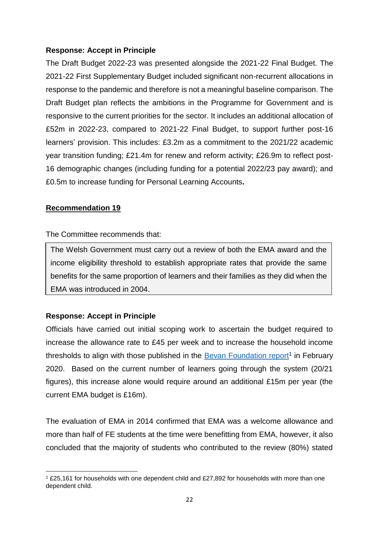#### **Response: Accept in Principle**

The Draft Budget 2022-23 was presented alongside the 2021-22 Final Budget. The 2021-22 First Supplementary Budget included significant non-recurrent allocations in response to the pandemic and therefore is not a meaningful baseline comparison. The Draft Budget plan reflects the ambitions in the Programme for Government and is responsive to the current priorities for the sector. It includes an additional allocation of £52m in 2022-23, compared to 2021-22 Final Budget, to support further post-16 learners' provision. This includes: £3.2m as a commitment to the 2021/22 academic year transition funding; £21.4m for renew and reform activity; £26.9m to reflect post-16 demographic changes (including funding for a potential 2022/23 pay award); and £0.5m to increase funding for Personal Learning Accounts**.**

#### **Recommendation 19**

#### The Committee recommends that:

The Welsh Government must carry out a review of both the EMA award and the income eligibility threshold to establish appropriate rates that provide the same benefits for the same proportion of learners and their families as they did when the EMA was introduced in 2004.

## **Response: Accept in Principle**

Officials have carried out initial scoping work to ascertain the budget required to increase the allowance rate to £45 per week and to increase the household income thresholds to align with those published in the [Bevan Foundation report](https://www.bevanfoundation.org/wp-content/uploads/2020/02/Learning-a-Living-Report-.pdf)<sup>1</sup> in February 2020. Based on the current number of learners going through the system (20/21 figures), this increase alone would require around an additional £15m per year (the current EMA budget is £16m).

The evaluation of EMA in 2014 confirmed that EMA was a welcome allowance and more than half of FE students at the time were benefitting from EMA, however, it also concluded that the majority of students who contributed to the review (80%) stated

<sup>1</sup> <sup>1</sup> £25,161 for households with one dependent child and £27,892 for households with more than one dependent child.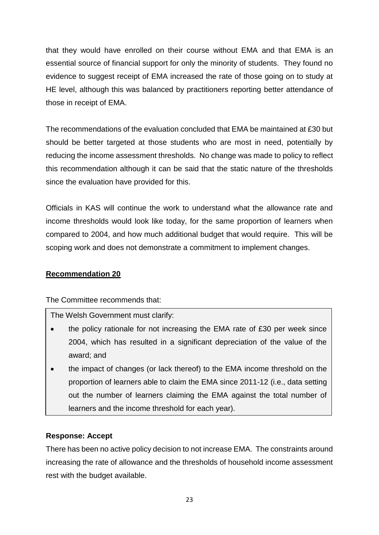that they would have enrolled on their course without EMA and that EMA is an essential source of financial support for only the minority of students. They found no evidence to suggest receipt of EMA increased the rate of those going on to study at HE level, although this was balanced by practitioners reporting better attendance of those in receipt of EMA.

The recommendations of the evaluation concluded that EMA be maintained at £30 but should be better targeted at those students who are most in need, potentially by reducing the income assessment thresholds. No change was made to policy to reflect this recommendation although it can be said that the static nature of the thresholds since the evaluation have provided for this.

Officials in KAS will continue the work to understand what the allowance rate and income thresholds would look like today, for the same proportion of learners when compared to 2004, and how much additional budget that would require. This will be scoping work and does not demonstrate a commitment to implement changes.

## **Recommendation 20**

The Committee recommends that:

The Welsh Government must clarify:

- the policy rationale for not increasing the EMA rate of £30 per week since 2004, which has resulted in a significant depreciation of the value of the award; and
- the impact of changes (or lack thereof) to the EMA income threshold on the proportion of learners able to claim the EMA since 2011-12 (i.e., data setting out the number of learners claiming the EMA against the total number of learners and the income threshold for each year).

## **Response: Accept**

There has been no active policy decision to not increase EMA. The constraints around increasing the rate of allowance and the thresholds of household income assessment rest with the budget available.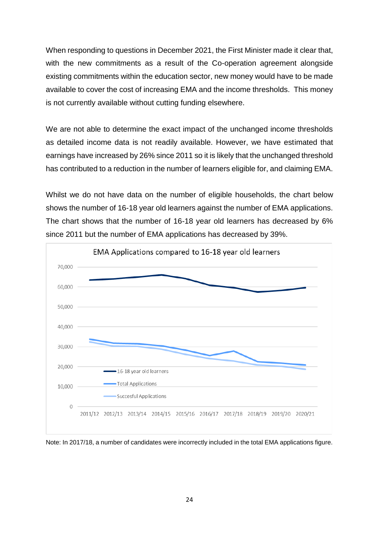When responding to questions in December 2021, the First Minister made it clear that, with the new commitments as a result of the Co-operation agreement alongside existing commitments within the education sector, new money would have to be made available to cover the cost of increasing EMA and the income thresholds. This money is not currently available without cutting funding elsewhere.

We are not able to determine the exact impact of the unchanged income thresholds as detailed income data is not readily available. However, we have estimated that earnings have increased by 26% since 2011 so it is likely that the unchanged threshold has contributed to a reduction in the number of learners eligible for, and claiming EMA.

Whilst we do not have data on the number of eligible households, the chart below shows the number of 16-18 year old learners against the number of EMA applications. The chart shows that the number of 16-18 year old learners has decreased by 6% since 2011 but the number of EMA applications has decreased by 39%.



Note: In 2017/18, a number of candidates were incorrectly included in the total EMA applications figure.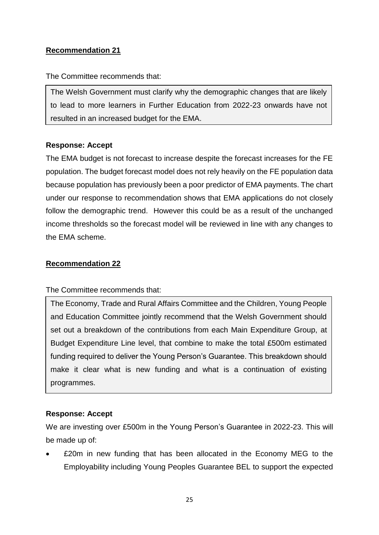# **Recommendation 21**

The Committee recommends that:

The Welsh Government must clarify why the demographic changes that are likely to lead to more learners in Further Education from 2022-23 onwards have not resulted in an increased budget for the EMA.

# **Response: Accept**

The EMA budget is not forecast to increase despite the forecast increases for the FE population. The budget forecast model does not rely heavily on the FE population data because population has previously been a poor predictor of EMA payments. The chart under our response to recommendation shows that EMA applications do not closely follow the demographic trend. However this could be as a result of the unchanged income thresholds so the forecast model will be reviewed in line with any changes to the EMA scheme.

## **Recommendation 22**

The Committee recommends that:

The Economy, Trade and Rural Affairs Committee and the Children, Young People and Education Committee jointly recommend that the Welsh Government should set out a breakdown of the contributions from each Main Expenditure Group, at Budget Expenditure Line level, that combine to make the total £500m estimated funding required to deliver the Young Person's Guarantee. This breakdown should make it clear what is new funding and what is a continuation of existing programmes.

# **Response: Accept**

We are investing over £500m in the Young Person's Guarantee in 2022-23. This will be made up of:

 £20m in new funding that has been allocated in the Economy MEG to the Employability including Young Peoples Guarantee BEL to support the expected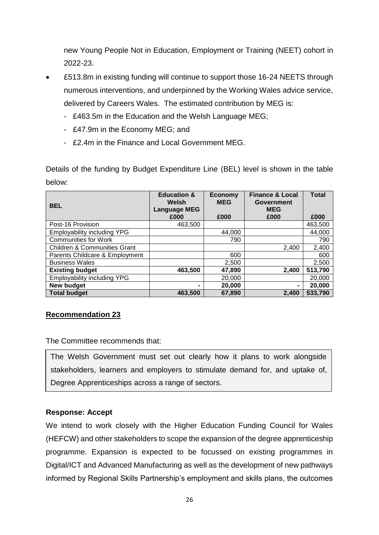new Young People Not in Education, Employment or Training (NEET) cohort in 2022-23.

- £513.8m in existing funding will continue to support those 16-24 NEETS through numerous interventions, and underpinned by the Working Wales advice service, delivered by Careers Wales. The estimated contribution by MEG is:
	- £463.5m in the Education and the Welsh Language MEG;
	- £47.9m in the Economy MEG; and
	- £2.4m in the Finance and Local Government MEG.

Details of the funding by Budget Expenditure Line (BEL) level is shown in the table below:

| <b>BEL</b>                              | <b>Education &amp;</b><br>Welsh<br><b>Language MEG</b><br>£000 | <b>Economy</b><br><b>MEG</b><br>£000 | <b>Finance &amp; Local</b><br><b>Government</b><br><b>MEG</b><br>£000 | <b>Total</b><br>£000 |
|-----------------------------------------|----------------------------------------------------------------|--------------------------------------|-----------------------------------------------------------------------|----------------------|
| Post-16 Provision                       | 463,500                                                        |                                      |                                                                       | 463,500              |
| <b>Employability including YPG</b>      |                                                                | 44,000                               |                                                                       | 44,000               |
| <b>Communities for Work</b>             |                                                                | 790                                  |                                                                       | 790                  |
| <b>Children &amp; Communities Grant</b> |                                                                |                                      | 2,400                                                                 | 2,400                |
| Parents Childcare & Employment          |                                                                | 600                                  |                                                                       | 600                  |
| <b>Business Wales</b>                   |                                                                | 2,500                                |                                                                       | 2,500                |
| <b>Existing budget</b>                  | 463,500                                                        | 47,890                               | 2,400                                                                 | 513,790              |
| <b>Employability including YPG</b>      |                                                                | 20,000                               |                                                                       | 20,000               |
| New budget                              |                                                                | 20,000                               | $\blacksquare$                                                        | 20,000               |
| <b>Total budget</b>                     | 463.500                                                        | 67,890                               | 2.400                                                                 | 533,790              |

## **Recommendation 23**

The Committee recommends that:

The Welsh Government must set out clearly how it plans to work alongside stakeholders, learners and employers to stimulate demand for, and uptake of, Degree Apprenticeships across a range of sectors.

## **Response: Accept**

We intend to work closely with the Higher Education Funding Council for Wales (HEFCW) and other stakeholders to scope the expansion of the degree apprenticeship programme. Expansion is expected to be focussed on existing programmes in Digital/ICT and Advanced Manufacturing as well as the development of new pathways informed by Regional Skills Partnership's employment and skills plans, the outcomes